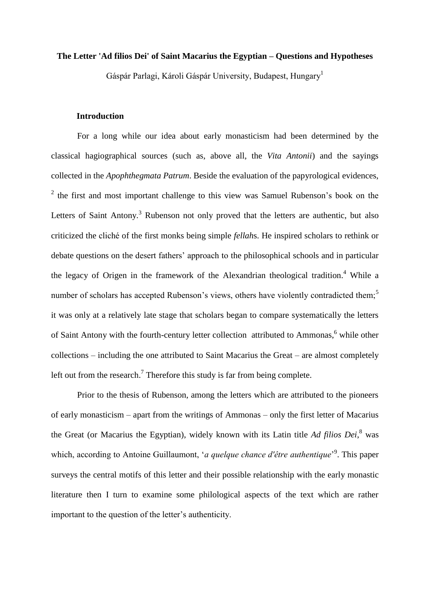### **The Letter 'Ad filios Dei' of Saint Macarius the Egyptian – Questions and Hypotheses**

Gáspár Parlagi, Károli Gáspár University, Budapest, Hungary<sup>1</sup>

# **Introduction**

For a long while our idea about early monasticism had been determined by the classical hagiographical sources (such as, above all, the *Vita Antonii*) and the sayings collected in the *Apophthegmata Patrum*. Beside the evaluation of the papyrological evidences,  $2$  the first and most important challenge to this view was Samuel Rubenson's book on the Letters of Saint Antony.<sup>3</sup> Rubenson not only proved that the letters are authentic, but also criticized the cliché of the first monks being simple *fellah*s. He inspired scholars to rethink or debate questions on the desert fathers' approach to the philosophical schools and in particular the legacy of Origen in the framework of the Alexandrian theological tradition.<sup>4</sup> While a number of scholars has accepted Rubenson's views, others have violently contradicted them;<sup>5</sup> it was only at a relatively late stage that scholars began to compare systematically the letters of Saint Antony with the fourth-century letter collection attributed to Ammonas,<sup>6</sup> while other collections – including the one attributed to Saint Macarius the Great – are almost completely left out from the research.<sup>7</sup> Therefore this study is far from being complete.

Prior to the thesis of Rubenson, among the letters which are attributed to the pioneers of early monasticism – apart from the writings of Ammonas – only the first letter of Macarius the Great (or Macarius the Egyptian), widely known with its Latin title *Ad filios Dei*, <sup>8</sup> was which, according to Antoine Guillaumont, '*a quelque chance d'être authentique*' 9 . This paper surveys the central motifs of this letter and their possible relationship with the early monastic literature then I turn to examine some philological aspects of the text which are rather important to the question of the letter's authenticity.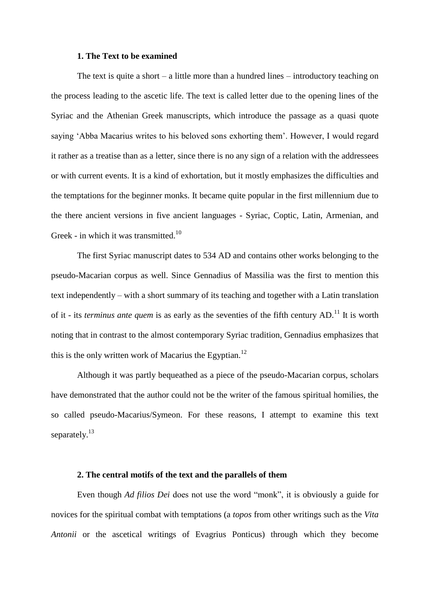#### **1. The Text to be examined**

The text is quite a short  $-$  a little more than a hundred lines  $-$  introductory teaching on the process leading to the ascetic life. The text is called letter due to the opening lines of the Syriac and the Athenian Greek manuscripts, which introduce the passage as a quasi quote saying 'Abba Macarius writes to his beloved sons exhorting them'. However, I would regard it rather as a treatise than as a letter, since there is no any sign of a relation with the addressees or with current events. It is a kind of exhortation, but it mostly emphasizes the difficulties and the temptations for the beginner monks. It became quite popular in the first millennium due to the there ancient versions in five ancient languages - Syriac, Coptic, Latin, Armenian, and Greek - in which it was transmitted.<sup>10</sup>

The first Syriac manuscript dates to 534 AD and contains other works belonging to the pseudo-Macarian corpus as well. Since Gennadius of Massilia was the first to mention this text independently – with a short summary of its teaching and together with a Latin translation of it - its *terminus ante quem* is as early as the seventies of the fifth century AD.<sup>11</sup> It is worth noting that in contrast to the almost contemporary Syriac tradition, Gennadius emphasizes that this is the only written work of Macarius the Egyptian.<sup>12</sup>

Although it was partly bequeathed as a piece of the pseudo-Macarian corpus, scholars have demonstrated that the author could not be the writer of the famous spiritual homilies, the so called pseudo-Macarius/Symeon. For these reasons, I attempt to examine this text separately.<sup>13</sup>

#### **2. The central motifs of the text and the parallels of them**

Even though *Ad filios Dei* does not use the word "monk", it is obviously a guide for novices for the spiritual combat with temptations (a *topos* from other writings such as the *Vita Antonii* or the ascetical writings of Evagrius Ponticus) through which they become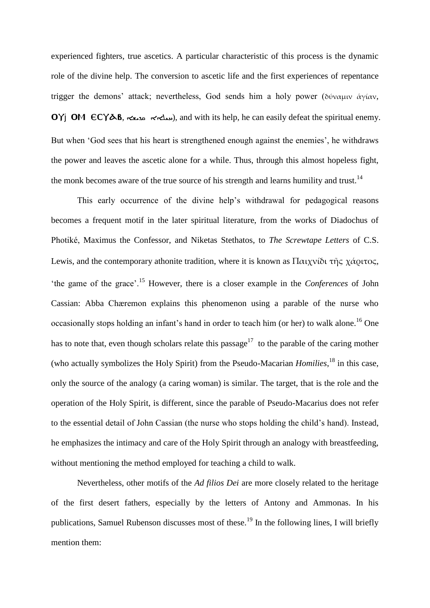experienced fighters, true ascetics. A particular characteristic of this process is the dynamic role of the divine help. The conversion to ascetic life and the first experiences of repentance trigger the demons' attack; nevertheless, God sends him a holy power (δύναμιν ἁγίαν, ovi OM  $\epsilon$ C $\gamma$  $\Delta$ B,  $\leq$  $\leq$   $\leq$   $\leq$   $\sim$   $\infty$ ), and with its help, he can easily defeat the spiritual enemy. But when 'God sees that his heart is strengthened enough against the enemies', he withdraws the power and leaves the ascetic alone for a while. Thus, through this almost hopeless fight, the monk becomes aware of the true source of his strength and learns humility and trust.<sup>14</sup>

This early occurrence of the divine help's withdrawal for pedagogical reasons becomes a frequent motif in the later spiritual literature, from the works of Diadochus of Photiké, Maximus the Confessor, and Niketas Stethatos, to *The Screwtape Letters* of C.S. Lewis, and the contemporary athonite tradition, where it is known as Παιχνίδι τῆς χάριτος, 'the game of the grace'.<sup>15</sup> However, there is a closer example in the *Conferences* of John Cassian: Abba Chæremon explains this phenomenon using a parable of the nurse who occasionally stops holding an infant's hand in order to teach him (or her) to walk alone.<sup>16</sup> One has to note that, even though scholars relate this passage<sup>17</sup> to the parable of the caring mother (who actually symbolizes the Holy Spirit) from the Pseudo-Macarian *Homilies*, <sup>18</sup> in this case, only the source of the analogy (a caring woman) is similar. The target, that is the role and the operation of the Holy Spirit, is different, since the parable of Pseudo-Macarius does not refer to the essential detail of John Cassian (the nurse who stops holding the child's hand). Instead, he emphasizes the intimacy and care of the Holy Spirit through an analogy with breastfeeding, without mentioning the method employed for teaching a child to walk.

Nevertheless, other motifs of the *Ad filios Dei* are more closely related to the heritage of the first desert fathers, especially by the letters of Antony and Ammonas. In his publications, Samuel Rubenson discusses most of these.<sup>19</sup> In the following lines, I will briefly mention them: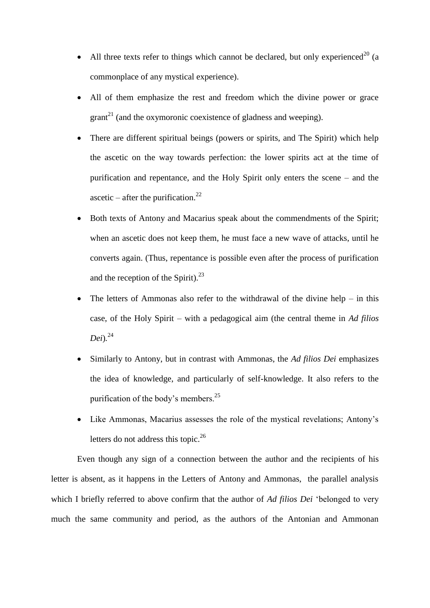- All three texts refer to things which cannot be declared, but only experienced<sup>20</sup> (a commonplace of any mystical experience).
- All of them emphasize the rest and freedom which the divine power or grace  $\text{grant}^{21}$  (and the oxymoronic coexistence of gladness and weeping).
- There are different spiritual beings (powers or spirits, and The Spirit) which help the ascetic on the way towards perfection: the lower spirits act at the time of purification and repentance, and the Holy Spirit only enters the scene – and the ascetic – after the purification.<sup>22</sup>
- Both texts of Antony and Macarius speak about the commendments of the Spirit; when an ascetic does not keep them, he must face a new wave of attacks, until he converts again. (Thus, repentance is possible even after the process of purification and the reception of the Spirit). $^{23}$
- The letters of Ammonas also refer to the withdrawal of the divine help in this case, of the Holy Spirit – with a pedagogical aim (the central theme in *Ad filios Dei*)*.* 24
- Similarly to Antony, but in contrast with Ammonas, the *Ad filios Dei* emphasizes the idea of knowledge, and particularly of self-knowledge. It also refers to the purification of the body's members.<sup>25</sup>
- Like Ammonas, Macarius assesses the role of the mystical revelations; Antony's letters do not address this topic. $^{26}$

Even though any sign of a connection between the author and the recipients of his letter is absent, as it happens in the Letters of Antony and Ammonas, the parallel analysis which I briefly referred to above confirm that the author of *Ad filios Dei* 'belonged to very much the same community and period, as the authors of the Antonian and Ammonan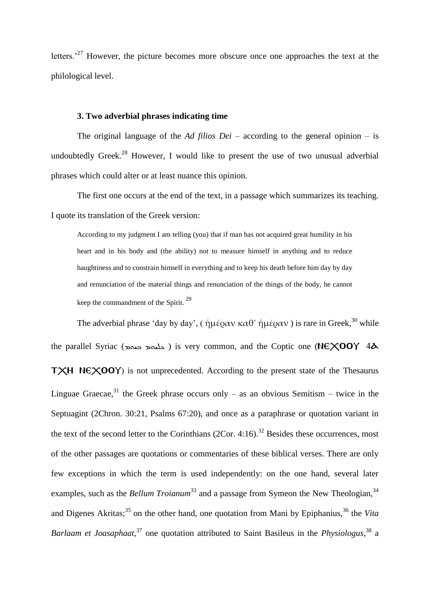letters.<sup>27</sup> However, the picture becomes more obscure once one approaches the text at the philological level.

## **3. Two adverbial phrases indicating time**

The original language of the *Ad filios Dei –* according to the general opinion – is undoubtedly Greek.<sup>28</sup> However, I would like to present the use of two unusual adverbial phrases which could alter or at least nuance this opinion.

The first one occurs at the end of the text, in a passage which summarizes its teaching. I quote its translation of the Greek version:

According to my judgment I am telling (you) that if man has not acquired great humility in his heart and in his body and (the ability) not to measure himself in anything and to reduce haughtiness and to constrain himself in everything and to keep his death before him day by day and renunciation of the material things and renunciation of the things of the body, he cannot keep the commandment of the Spirit.<sup>29</sup>

The adverbial phrase 'day by day', ( ήμέραν καθ' ήμέραν) is rare in Greek,<sup>30</sup> while the parallel Syriac (حليمة دمهة) is very common, and the Coptic one (NEXOOY  $4\lambda$ 

 $T XH$  NE $XOOY$ ) is not unprecedented. According to the present state of the Thesaurus Linguae Graecae,<sup>31</sup> the Greek phrase occurs only – as an obvious Semitism – twice in the Septuagint (2Chron. 30:21, Psalms 67:20), and once as a paraphrase or quotation variant in the text of the second letter to the Corinthians (2Cor. 4:16).<sup>32</sup> Besides these occurrences, most of the other passages are quotations or commentaries of these biblical verses. There are only few exceptions in which the term is used independently: on the one hand, several later examples, such as the *Bellum Troianum*<sup>33</sup> and a passage from Symeon the New Theologian,<sup>34</sup> and Digenes Akritas;<sup>35</sup> on the other hand, one quotation from Mani by Epiphanius,<sup>36</sup> the *Vita* Barlaam et Joasaphaat,<sup>37</sup> one quotation attributed to Saint Basileus in the *Physiologus*,<sup>38</sup> a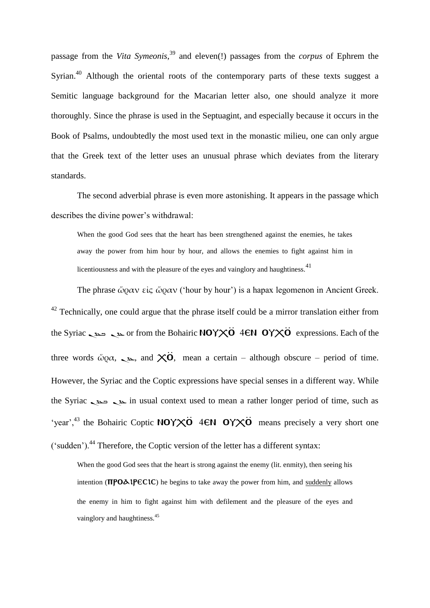passage from the *Vita Symeonis*, <sup>39</sup> and eleven(!) passages from the *corpus* of Ephrem the Syrian.<sup>40</sup> Although the oriental roots of the contemporary parts of these texts suggest a Semitic language background for the Macarian letter also, one should analyze it more thoroughly. Since the phrase is used in the Septuagint, and especially because it occurs in the Book of Psalms, undoubtedly the most used text in the monastic milieu, one can only argue that the Greek text of the letter uses an unusual phrase which deviates from the literary standards.

The second adverbial phrase is even more astonishing. It appears in the passage which describes the divine power's withdrawal:

When the good God sees that the heart has been strengthened against the enemies, he takes away the power from him hour by hour, and allows the enemies to fight against him in licentiousness and with the pleasure of the eyes and vainglory and haughtiness.<sup>41</sup>

The phrase ὥραν εἰς ὥραν ('hour by hour') is a hapax legomenon in Ancient Greek.  $42$  Technically, one could argue that the phrase itself could be a mirror translation either from the Syriac دوس دون or from the Bohairic NOYXO 4EN OYXO expressions. Each of the three words  $\omega_{\text{Q}}\alpha$ ,  $\omega_{\text{Q}}$ , and  $\chi\ddot{\text{Q}}$ , mean a certain – although obscure – period of time. However, the Syriac and the Coptic expressions have special senses in a different way. While the Syriac ܒܥܕܢ ܥܕܢ in usual context used to mean a rather longer period of time, such as 'year',<sup>43</sup> the Bohairic Coptic NOY $\times$ O 4EN OY $\times$ O means precisely a very short one  $('sudden')<sup>44</sup>$  Therefore, the Coptic version of the letter has a different syntax:

When the good God sees that the heart is strong against the enemy (lit. enmity), then seeing his intention ( $\pi$ PO $\Delta$ 1PEC1C) he begins to take away the power from him, and suddenly allows the enemy in him to fight against him with defilement and the pleasure of the eyes and vainglory and haughtiness.<sup>45</sup>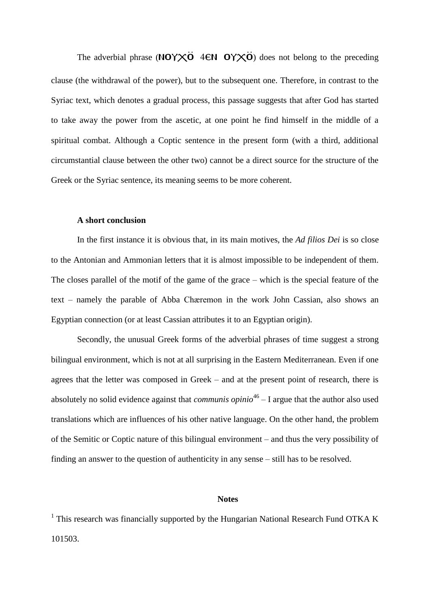The adverbial phrase (NOY $\times$ 0 4EN OY $\times$ 0) does not belong to the preceding clause (the withdrawal of the power), but to the subsequent one. Therefore, in contrast to the Syriac text, which denotes a gradual process, this passage suggests that after God has started to take away the power from the ascetic, at one point he find himself in the middle of a spiritual combat. Although a Coptic sentence in the present form (with a third, additional circumstantial clause between the other two) cannot be a direct source for the structure of the Greek or the Syriac sentence, its meaning seems to be more coherent.

### **A short conclusion**

In the first instance it is obvious that, in its main motives, the *Ad filios Dei* is so close to the Antonian and Ammonian letters that it is almost impossible to be independent of them. The closes parallel of the motif of the game of the grace – which is the special feature of the text – namely the parable of Abba Chæremon in the work John Cassian, also shows an Egyptian connection (or at least Cassian attributes it to an Egyptian origin).

Secondly, the unusual Greek forms of the adverbial phrases of time suggest a strong bilingual environment, which is not at all surprising in the Eastern Mediterranean. Even if one agrees that the letter was composed in Greek – and at the present point of research, there is absolutely no solid evidence against that *communis opinio*<sup>46</sup> – I argue that the author also used translations which are influences of his other native language. On the other hand, the problem of the Semitic or Coptic nature of this bilingual environment – and thus the very possibility of finding an answer to the question of authenticity in any sense – still has to be resolved.

#### **Notes**

<sup>1</sup> This research was financially supported by the Hungarian National Research Fund OTKA K 101503.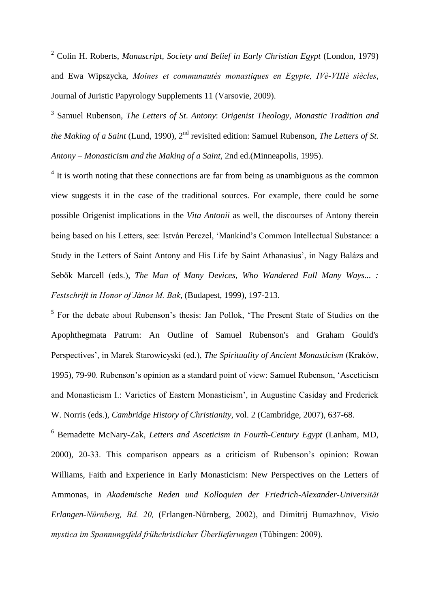<sup>2</sup> Colin H. Roberts, *Manuscript, Society and Belief in Early Christian Egypt* (London, 1979) and Ewa Wipszycka, *Moines et communautés monastiques en Egypte, IVè-VIIIè siècles*, Journal of Juristic Papyrology Supplements 11 (Varsovie, 2009).

3 Samuel Rubenson, *The Letters of St*. *Antony*: *Origenist Theology*, *Monastic Tradition and*  the Making of a Saint (Lund, 1990), 2<sup>nd</sup> revisited edition: Samuel Rubenson, *The Letters of St. Antony – Monasticism and the Making of a Saint,* 2nd ed.(Minneapolis, 1995).

 $4$  It is worth noting that these connections are far from being as unambiguous as the common view suggests it in the case of the traditional sources. For example, there could be some possible Origenist implications in the *Vita Antonii* as well, the discourses of Antony therein being based on his Letters, see: István Perczel, 'Mankind's Common Intellectual Substance: a Study in the Letters of Saint Antony and His Life by Saint Athanasius', in Nagy Balázs and Sebők Marcell (eds.), *The Man of Many Devices, Who Wandered Full Many Ways... : Festschrift in Honor of János M. Bak*, (Budapest, 1999), 197-213.

<sup>5</sup> For the debate about Rubenson's thesis: Jan Pollok, 'The Present State of Studies on the Apophthegmata Patrum: An Outline of Samuel Rubenson's and Graham Gould's Perspectives', in Marek Starowicyski (ed.), *The Spirituality of Ancient Monasticism* (Kraków, 1995), 79-90. Rubenson's opinion as a standard point of view: Samuel Rubenson, 'Asceticism and Monasticism I.: Varieties of Eastern Monasticism', in Augustine Casiday and Frederick W. Norris (eds.), *Cambridge History of Christianity,* vol. 2 (Cambridge, 2007), 637-68.

<sup>6</sup> Bernadette McNary-Zak, *Letters and Asceticism in Fourth-Century Egypt* (Lanham, MD, 2000), 20-33. This comparison appears as a criticism of Rubenson's opinion: Rowan Williams, Faith and Experience in Early Monasticism: New Perspectives on the Letters of Ammonas, in *Akademische Reden und Kolloquien der Friedrich-Alexander-Universität Erlangen-Nürnberg, Bd. 20,* (Erlangen-Nürnberg, 2002), and Dimitrij Bumazhnov, *Visio mystica im Spannungsfeld frühchristlicher Überlieferungen* (Tübingen: 2009).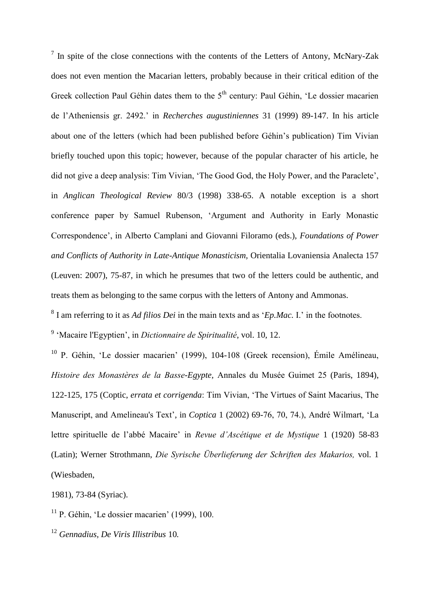$<sup>7</sup>$  In spite of the close connections with the contents of the Letters of Antony, McNary-Zak</sup> does not even mention the Macarian letters, probably because in their critical edition of the Greek collection Paul Géhin dates them to the  $5<sup>th</sup>$  century: Paul Géhin, 'Le dossier macarien de l'Atheniensis gr. 2492.' in *Recherches augustiniennes* 31 (1999) 89-147. In his article about one of the letters (which had been published before Géhin's publication) Tim Vivian briefly touched upon this topic; however, because of the popular character of his article, he did not give a deep analysis: Tim Vivian, 'The Good God, the Holy Power, and the Paraclete', in *Anglican Theological Review* 80/3 (1998) 338-65. A notable exception is a short conference paper by Samuel Rubenson, 'Argument and Authority in Early Monastic Correspondence', in Alberto Camplani and Giovanni Filoramo (eds.), *Foundations of Power and Conflicts of Authority in Late-Antique Monasticism,* Orientalia Lovaniensia Analecta 157 (Leuven: 2007), 75-87, in which he presumes that two of the letters could be authentic, and treats them as belonging to the same corpus with the letters of Antony and Ammonas.

8 I am referring to it as *Ad filios Dei* in the main texts and as '*Ep.Mac.* I.' in the footnotes.

9 'Macaire l'Egyptien', in *Dictionnaire de Spiritualité*, vol. 10, 12.

<sup>10</sup> P. Géhin, 'Le dossier macarien' (1999), 104-108 (Greek recension), Émile Amélineau, *Histoire des Monastères de la Basse-Egypte,* Annales du Musée Guimet 25 (Paris, 1894), 122-125, 175 (Coptic, *errata et corrigenda*: Tim Vivian, 'The Virtues of Saint Macarius, The Manuscript, and Amelineau's Text', in *Coptica* 1 (2002) 69-76, 70, 74.), André Wilmart, 'La lettre spirituelle de l'abbé Macaire' in *Revue d'Ascétique et de Mystique* 1 (1920) 58-83 (Latin); Werner Strothmann, *Die Syrische Überlieferung der Schriften des Makarios,* vol. 1 (Wiesbaden,

1981), 73-84 (Syriac).

<sup>11</sup> P. Géhin, 'Le dossier macarien' (1999), 100.

<sup>12</sup> *Gennadius, De Viris Illistribus* 10*.*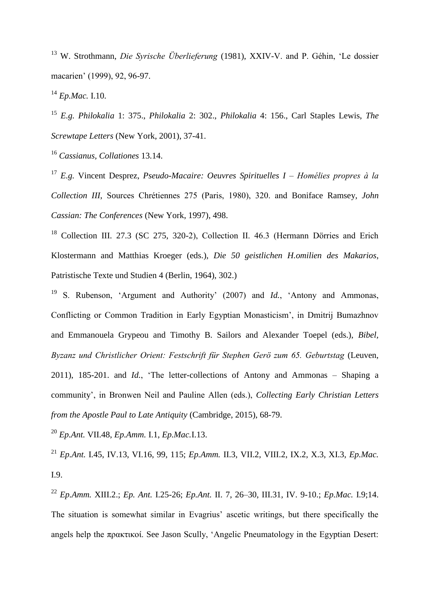<sup>13</sup> W. Strothmann, *Die Syrische Überlieferung* (1981), XXIV-V. and P. Géhin, 'Le dossier macarien' (1999), 92, 96-97.

<sup>14</sup> *Ep.Mac.* I.10.

<sup>15</sup> *E.g. Philokalia* 1: 375., *Philokalia* 2: 302., *Philokalia* 4: 156., Carl Staples Lewis, *The Screwtape Letters* (New York, 2001), 37-41.

<sup>16</sup> *Cassianus, Collationes* 13.14.

<sup>17</sup> *E.g.* Vincent Desprez, *Pseudo-Macaire: Oeuvres Spirituelles I – Homélies propres à la Collection III*, Sources Chrétiennes 275 (Paris, 1980), 320. and Boniface Ramsey, *John Cassian: The Conferences* (New York, 1997), 498.

<sup>18</sup> Collection III. 27.3 (SC 275, 320-2), Collection II. 46.3 (Hermann Dörries and Erich Klostermann and Matthias Kroeger (eds.), *Die 50 geistlichen H.omilien des Makarios*, Patristische Texte und Studien 4 (Berlin, 1964), 302.)

<sup>19</sup> S. Rubenson, 'Argument and Authority' (2007) and *Id.*, 'Antony and Ammonas, Conflicting or Common Tradition in Early Egyptian Monasticism', in Dmitrij Bumazhnov and Emmanouela Grypeou and Timothy B. Sailors and Alexander Toepel (eds.), *Bibel, Byzanz und Christlicher Orient: Festschrift für Stephen Gerö zum 65. Geburtstag* (Leuven, 2011), 185-201. and *Id.*, 'The letter-collections of Antony and Ammonas – Shaping a community', in Bronwen Neil and Pauline Allen (eds.), *Collecting Early Christian Letters from the Apostle Paul to Late Antiquity* (Cambridge, 2015), 68-79.

<sup>20</sup> *Ep.Ant.* VII.48, *Ep.Amm.* I.1, *Ep.Mac.*I.13.

<sup>21</sup> *Ep.Ant.* I.45, IV.13, VI.16, 99, 115; *Ep.Amm.* II.3, VII.2, VIII.2, IX.2, X.3, XI.3, *Ep.Mac.* I.9.

<sup>22</sup> *Ep.Amm.* XIII.2.; *Ep. Ant.* I.25-26; *Ep.Ant.* II. 7, 26–30, III.31, IV. 9-10.; *Ep.Mac.* I.9;14. The situation is somewhat similar in Evagrius' ascetic writings, but there specifically the angels help the πρακτικοί. See Jason Scully, 'Angelic Pneumatology in the Egyptian Desert: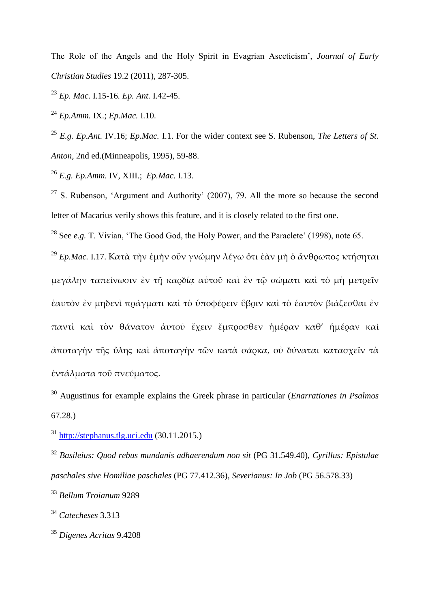The Role of the Angels and the Holy Spirit in Evagrian Asceticism', *Journal of Early Christian Studies* 19.2 (2011), 287-305.

<sup>23</sup> *Ep. Mac.* I*.*15-16*. Ep. Ant.* I.42-45.

<sup>24</sup> *Ep.Amm.* IX.; *Ep.Mac.* I.10.

<sup>25</sup> *E.g. Ep.Ant.* IV.16; *Ep.Mac.* I.1. For the wider context see S. Rubenson, *The Letters of St*. *Anton,* 2nd ed.(Minneapolis, 1995), 59-88.

<sup>26</sup> *E.g. Ep.Amm.* IV, XIII.; *Ep.Mac.* I.13.

 $27$  S. Rubenson, 'Argument and Authority' (2007), 79. All the more so because the second letter of Macarius verily shows this feature, and it is closely related to the first one.

<sup>28</sup> See *e.g.* T. Vivian, 'The Good God, the Holy Power, and the Paraclete' (1998), note 65.

<sup>29</sup> *Ep.Mac.* I.17. Κατὰ τὴν ἐμὴν οὖν γνώμην λέγω ὅτι ἐὰν μὴ ὁ ἄνθρωπος κτήσηται μεγάλην ταπείνωσιν ἐν τῇ καρδίᾳ αὐτοῦ καὶ ἐν τῷ σώματι καὶ τὸ μὴ μετρεῖν ἑαυτὸν ἐν μηδενὶ πράγματι καὶ τὸ ὑποφέρειν ὕβριν καὶ τὸ ἑαυτὸν βιάζεσθαι ἐν παντὶ καὶ τὸν θάνατον ἀυτοῦ ἔχειν ἔμπροσθεν ἡμέραν καθ' ἡμέραν καὶ ἀποταγὴν τῆς ὕλης καὶ ἀποταγὴν τῶν κατὰ σάρκα, οὐ δύναται κατασχεῖν τὰ ἐντάλματα τοῦ πνεύματος.

<sup>30</sup> Augustinus for example explains the Greek phrase in particular (*Enarrationes in Psalmos* 67.28.)

<sup>31</sup> [http://stephanus.tlg.uci.edu](http://stephanus.tlg.uci.edu/) (30.11.2015.)

<sup>32</sup> *Basileius: Quod rebus mundanis adhaerendum non sit* (PG 31.549.40), *Cyrillus: Epistulae paschales sive Homiliae paschales* (PG 77.412.36), *Severianus: In Job* (PG 56.578.33)

<sup>33</sup> *Bellum Troianum* 9289

<sup>34</sup> *Catecheses* 3.313

<sup>35</sup> *Digenes Acritas* 9.4208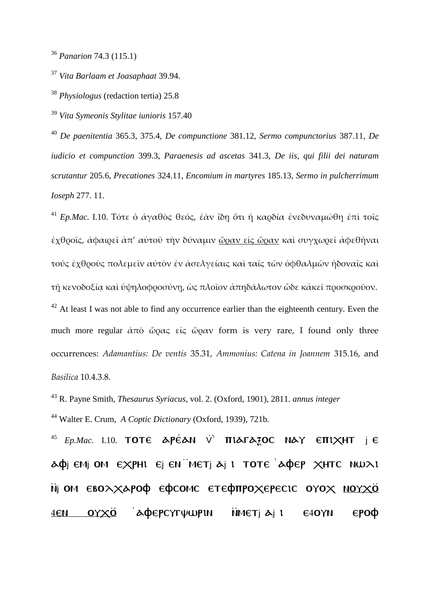<sup>36</sup> *Panarion* 74.3 (115.1)

<sup>37</sup> *Vita Barlaam et Joasaphaat* 39.94.

<sup>38</sup> *Physiologus* (redaction tertia) 25.8

<sup>39</sup> *Vita Symeonis Stylitae iunioris* 157.40

<sup>40</sup> *De paenitentia* 365.3, 375.4, *De compunctione* 381.12*, Sermo compunctorius* 387.11, *De iudicio et compunction* 399.3, *Paraenesis ad ascetas* 341.3, *De iis, qui filii dei naturam scrutantur* 205.6, *Precationes* 324.11, *Encomium in martyres* 185.13, *Sermo in pulcherrimum Ioseph* 277. 11.

<sup>41</sup> *Ep.Mac.* I.10. Τότε ὁ ἀγαθὸς θεός, ἐὰν ἴδῃ ὅτι ἡ καρδία ἐνεδυναμώθη ἐπὶ τοῖς ἐχθροῖς, ἀφαιρεῖ ἀπ' αὐτοῦ τὴν δύναμιν ὥραν εἰς ὥραν καὶ συγχωρεῖ ἀφεθῆναι τούς ἐχθροὺς πολεμεῖν αὐτὸν ἐν ἀσελγείαις καὶ ταῖς τῶν ὀφθαλμῶν ἡδοναῖς καὶ τῇ κενοδοξίᾳ καὶ ὑψηλοφροσύνῃ, ὡς πλοῖον ἀπηδάλωτον ὧδε κἀκεῖ προσκροῦον.  $42$  At least I was not able to find any occurrence earlier than the eighteenth century. Even the much more regular  $\dot{\alpha}$ πὸ ὥρας εἰς ὥραν form is very rare, I found only three occurrences: *Adamantius: De ventis* 35.31, *Ammonius: Catena in Joannem* 315.16, and *Basilica* 10.4.3.8.

<sup>43</sup> R. Payne Smith, *Thesaurus Syriacus*, vol. 2. (Oxford, 1901), 2811. *annus integer* <sup>44</sup> Walter E. Crum, *A Coptic Dictionary* (Oxford, 1939), 721b.

 $^{45}$  *Ep.Mac.* I.10. TOTE APEAN V **TILATA3OC NAY ETILXHT**  $\vdash$  E  $\Delta \varphi$ j emj om  $\epsilon \times$ phi  $\epsilon$ j en 'metj  $\Delta$ j i tote ' $\Delta \varphi$ ep  $\times$ htc nw $\lambda$ i Nij OM EBOXXAPOФ EФCOMC ETEФПРОХЕРЕСІС ОҮОХ NOYXÖ 4EN OΥΧΟ ΑΦΕΡΟΥΓΨWPIN NHETJ AJ I E4OYN EPOΦ